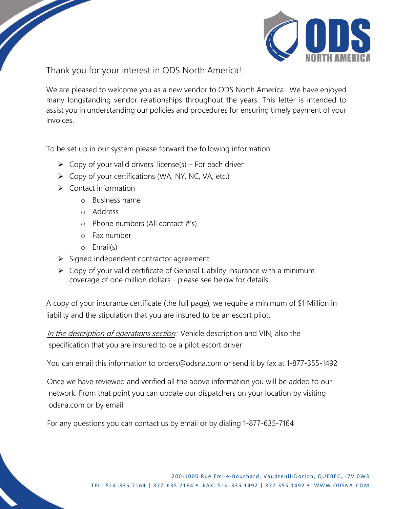

Thank you for your interest in ODS North America!

We are pleased to welcome you as a new vendor to ODS North America. We have enjoyed many longstanding vendor relationships throughout the years. This letter is intended to assist you in understanding our policies and procedures for ensuring timely payment of your invoices.

To be set up in our system please forward the following information:

- $\triangleright$  Copy of your valid drivers' license(s) For each driver
- $\triangleright$  Copy of your certifications (WA, NY, NC, VA, etc.)
- $\triangleright$  Contact information

**September 1888** 

- o Business name
- o Address
- o Phone numbers (All contact #'s)
- o Fax number
- o Email(s)
- $\triangleright$  Signed independent contractor agreement
- $\triangleright$  Copy of your valid certificate of General Liability Insurance with a minimum coverage of one million dollars - please see below for details

A copy of your insurance certificate (the full page), we require a minimum of \$1 Million in liability and the stipulation that you are insured to be an escort pilot.

In the description of operations section: Vehicle description and VIN, also the specification that you are insured to be a pilot escort driver

You can email this information to orders@odsna.com or send it by fax at 1-877-355-1492

Once we have reviewed and verified all the above information you will be added to our network. From that point you can update our dispatchers on your location by visiting odsna.com or by email.

For any questions you can contact us by email or by dialing 1-877-635-7164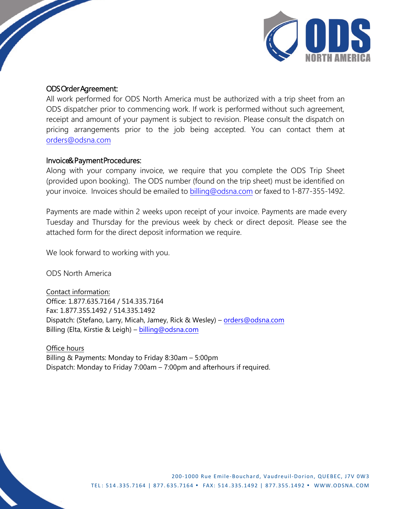

## ODS Order Agreement:

 $\overline{\phantom{a}}$ 

All work performed f[or ODS North Ameri](mailto:orders@odsna.com)ca must be authorized with a trip sheet from an ODS dispatcher prior to commencing work. If work is performed without such agreement, receipt and amount of your payment is subject to revision. Please consult the dispatch on pricing arrangements prior to the job being accepted. You can contact them at orders@odsna.com

## Invoice& Payment Procedures:

Along with your company invoice, we require that you complete the ODS Trip Sheet (provided upon booking). The ODS number (found on the trip sheet) must be identified on your invoice. Invoices should be emailed to [billing@odsna.com](mailto:billing@odsna.com) or faxed to 1-877-355-1492.

Payments are made within 2 weeks upon receipt of your invoice. Payments are made every [Tuesday and Thursd](mailto:orders@odsna.com)ay for the previous week by check or direct deposit. Please see the attached form for the direct deposit information we require.

We look forward to working with you.

ODS North America

Contact information: Office: 1.877.635.7164 / 514.335.7164 Fax: 1.877.355.1492 / 514.335.1492 Dispatch: (Stefano, Larry, Micah, Jamey, Rick & Wesley) – orders@odsna.com Billing (Elta, Kirstie & Leigh) – billing@odsna.com

Office hours Billing & Payments: Monday to Friday 8:30am – 5:00pm Dispatch: Monday to Friday 7:00am – 7:00pm and afterhours if required.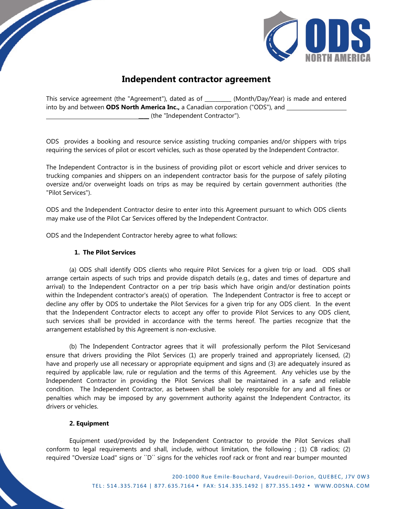

# **Independent contractor agreement**

This service agreement (the "Agreement"), dated as of \_\_\_\_\_\_\_\_\_\_ (Month/Day/Year) is made and entered into by and between **ODS North America Inc.,** a Canadian corporation ("ODS"), and \_\_\_\_ (the "Independent Contractor").

ODS provides a booking and resource service assisting trucking companies and/or shippers with trips requiring the services of pilot or escort vehicles, such as those operated by the Independent Contractor.

The Independent Contractor is in the business of providing pilot or escort vehicle and driver services to trucking companies and shippers on an independent contractor basis for the purpose of safely piloting oversize and/or overweight loads on trips as may be required by certain government authorities (the "Pilot Services").

ODS and the Independent Contractor desire to enter into this Agreement pursuant to which ODS clients may make use of the Pilot Car Services offered by the Independent Contractor.

ODS and the Independent Contractor hereby agree to what follows:

## **1. The Pilot Services**

**SARASSED SERVICE** 

(a) ODS shall identify ODS clients who require Pilot Services for a given trip or load. ODS shall arrange certain aspects of such trips and provide dispatch details (e.g., dates and times of departure and arrival) to the Independent Contractor on a per trip basis which have origin and/or destination points within the Independent contractor's area(s) of operation. The Independent Contractor is free to accept or decline any offer by ODS to undertake the Pilot Services for a given trip for any ODS client. In the event that the Independent Contractor elects to accept any offer to provide Pilot Services to any ODS client, such services shall be provided in accordance with the terms hereof. The parties recognize that the arrangement established by this Agreement is non-exclusive.

(b) The Independent Contractor agrees that it will professionally perform the Pilot Servicesand ensure that drivers providing the Pilot Services (1) are properly trained and appropriately licensed, (2) have and properly use all necessary or appropriate equipment and signs and (3) are adequately insured as required by applicable law, rule or regulation and the terms of this Agreement. Any vehicles use by the Independent Contractor in providing the Pilot Services shall be maintained in a safe and reliable condition. The Independent Contractor, as between shall be solely responsible for any and all fines or penalties which may be imposed by any government authority against the Independent Contractor, its drivers or vehicles.

#### **2. Equipment**

Equipment used/provided by the Independent Contractor to provide the Pilot Services shall conform to legal requirements and shall, include, without limitation, the following ; (1) CB radios; (2) required "Oversize Load" signs or ``D`` signs for the vehicles roof rack or front and rear bumper mounted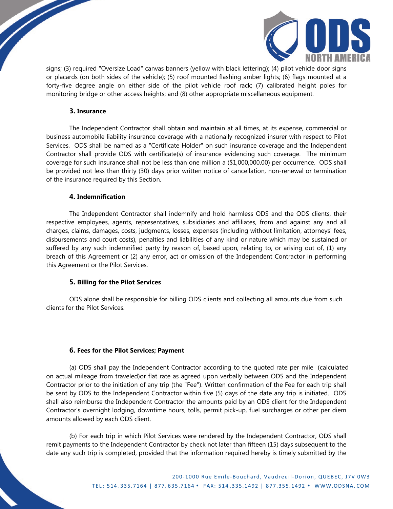

signs; (3) required "Oversize Load" canvas banners (yellow with black lettering); (4) pilot vehicle door signs or placards (on both sides of the vehicle); (5) roof mounted flashing amber lights; (6) flags mounted at a forty-five degree angle on either side of the pilot vehicle roof rack; (7) calibrated height poles for monitoring bridge or other access heights; and (8) other appropriate miscellaneous equipment.

### **3. Insurance**

 $\mathscr{D}$ 

The Independent Contractor shall obtain and maintain at all times, at its expense, commercial or business automobile liability insurance coverage with a nationally recognized insurer with respect to Pilot Services. ODS shall be named as a "Certificate Holder" on such insurance coverage and the Independent Contractor shall provide ODS with certificate(s) of insurance evidencing such coverage. The minimum coverage for such insurance shall not be less than one million a (\$1,000,000.00) per occurrence. ODS shall be provided not less than thirty (30) days prior written notice of cancellation, non-renewal or termination of the insurance required by this Section.

### **4. Indemnification**

The Independent Contractor shall indemnify and hold harmless ODS and the ODS clients, their respective employees, agents, representatives, subsidiaries and affiliates, from and against any and all charges, claims, damages, costs, judgments, losses, expenses (including without limitation, attorneys' fees, disbursements and court costs), penalties and liabilities of any kind or nature which may be sustained or suffered by any such indemnified party by reason of, based upon, relating to, or arising out of, (1) any breach of this Agreement or (2) any error, act or omission of the Independent Contractor in performing this Agreement or the Pilot Services.

## **5. Billing for the Pilot Services**

ODS alone shall be responsible for billing ODS clients and collecting all amounts due from such clients for the Pilot Services.

## **6. Fees for the Pilot Services; Payment**

(a) ODS shall pay the Independent Contractor according to the quoted rate per mile (calculated on actual mileage from traveled)or flat rate as agreed upon verbally between ODS and the Independent Contractor prior to the initiation of any trip (the "Fee"). Written confirmation of the Fee for each trip shall be sent by ODS to the Independent Contractor within five (5) days of the date any trip is initiated. ODS shall also reimburse the Independent Contractor the amounts paid by an ODS client for the Independent Contractor's overnight lodging, downtime hours, tolls, permit pick-up, fuel surcharges or other per diem amounts allowed by each ODS client.

(b) For each trip in which Pilot Services were rendered by the Independent Contractor, ODS shall remit payments to the Independent Contractor by check not later than fifteen (15) days subsequent to the date any such trip is completed, provided that the information required hereby is timely submitted by the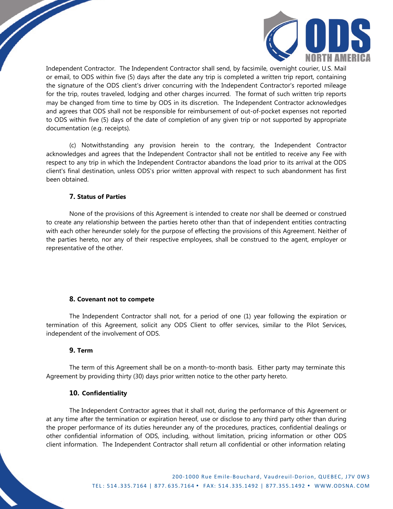

Independent Contractor. The Independent Contractor shall send, by facsimile, overnight courier, U.S. Mail or email, to ODS within five (5) days after the date any trip is completed a written trip report, containing the signature of the ODS client's driver concurring with the Independent Contractor's reported mileage for the trip, routes traveled, lodging and other charges incurred. The format of such written trip reports may be changed from time to time by ODS in its discretion. The Independent Contractor acknowledges and agrees that ODS shall not be responsible for reimbursement of out-of-pocket expenses not reported to ODS within five (5) days of the date of completion of any given trip or not supported by appropriate documentation (e.g. receipts).

(c) Notwithstanding any provision herein to the contrary, the Independent Contractor acknowledges and agrees that the Independent Contractor shall not be entitled to receive any Fee with respect to any trip in which the Independent Contractor abandons the load prior to its arrival at the ODS client's final destination, unless ODS's prior written approval with respect to such abandonment has first been obtained.

### **7. Status of Parties**

 $\overline{\phantom{a}}$ 

None of the provisions of this Agreement is intended to create nor shall be deemed or construed to create any relationship between the parties hereto other than that of independent entities contracting with each other hereunder solely for the purpose of effecting the provisions of this Agreement. Neither of the parties hereto, nor any of their respective employees, shall be construed to the agent, employer or representative of the other.

#### **8. Covenant not to compete**

The Independent Contractor shall not, for a period of one (1) year following the expiration or termination of this Agreement, solicit any ODS Client to offer services, similar to the Pilot Services, independent of the involvement of ODS.

## **9. Term**

The term of this Agreement shall be on a month-to-month basis. Either party may terminate this Agreement by providing thirty (30) days prior written notice to the other party hereto.

## **10. Confidentiality**

The Independent Contractor agrees that it shall not, during the performance of this Agreement or at any time after the termination or expiration hereof, use or disclose to any third party other than during the proper performance of its duties hereunder any of the procedures, practices, confidential dealings or other confidential information of ODS, including, without limitation, pricing information or other ODS client information. The Independent Contractor shall return all confidential or other information relating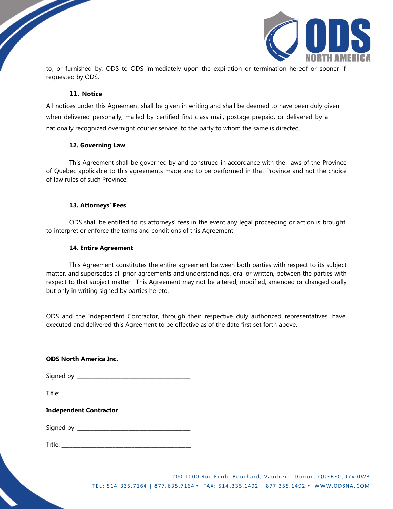

to, or furnished by, ODS to ODS immediately upon the expiration or termination hereof or sooner if requested by ODS.

### **11. Notice**

**September 1888** 

All notices under this Agreement shall be given in writing and shall be deemed to have been duly given when delivered personally, mailed by certified first class mail, postage prepaid, or delivered by a nationally recognized overnight courier service, to the party to whom the same is directed.

### **12. Governing Law**

This Agreement shall be governed by and construed in accordance with the laws of the Province of Quebec applicable to this agreements made and to be performed in that Province and not the choice of law rules of such Province.

## **13. Attorneys' Fees**

ODS shall be entitled to its attorneys' fees in the event any legal proceeding or action is brought to interpret or enforce the terms and conditions of this Agreement.

### **14. Entire Agreement**

This Agreement constitutes the entire agreement between both parties with respect to its subject matter, and supersedes all prior agreements and understandings, oral or written, between the parties with respect to that subject matter. This Agreement may not be altered, modified, amended or changed orally but only in writing signed by parties hereto.

ODS and the Independent Contractor, through their respective duly authorized representatives, have executed and delivered this Agreement to be effective as of the date first set forth above.

## **ODS North America Inc.**

Signed by: \_\_\_\_\_\_\_\_\_\_\_\_\_\_\_\_\_\_\_\_\_\_\_\_\_\_\_\_\_\_\_\_\_\_\_\_\_\_\_\_\_\_

Title:

#### **Independent Contractor**

Signed by:  $\frac{1}{2}$  signed by:

Title: \_\_\_\_\_\_\_\_\_\_\_\_\_\_\_\_\_\_\_\_\_\_\_\_\_\_\_\_\_\_\_\_\_\_\_\_\_\_\_\_\_\_\_\_\_\_\_\_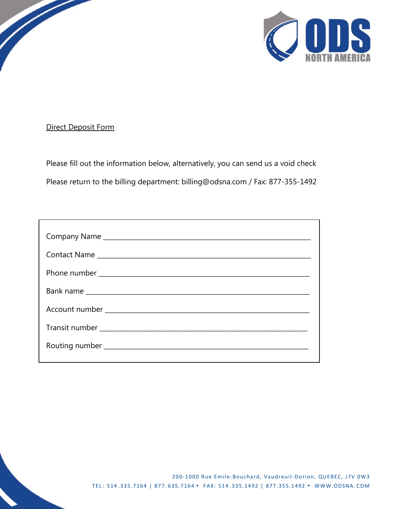

# Direct Deposit Form

**SARANTINO CONTROLLER** 

Please fill out the information below, alternatively, you can send us a void check Please return to the billing department: billing@odsna.com / Fax: 877-355-1492

| Contact Name |  |
|--------------|--|
|              |  |
|              |  |
|              |  |
|              |  |
|              |  |
|              |  |
|              |  |
|              |  |
|              |  |
|              |  |
|              |  |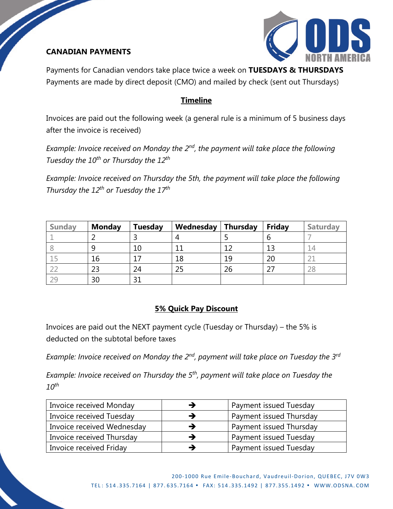# **CANADIAN PAYMENTS**

 $\overline{\phantom{a}}$ 



Payments for Canadian vendors take place twice a week on **TUESDAYS & THURSDAYS** Payments are made by direct deposit (CMO) and mailed by check (sent out Thursdays)

# **Timeline**

Invoices are paid out the following week (a general rule is a minimum of 5 business days after the invoice is received)

*Example: Invoice received on Monday the 2nd, the payment will take place the following Tuesday the 10th or Thursday the 12th* 

*Example: Invoice received on Thursday the 5th, the payment will take place the following Thursday the 12th or Tuesday the 17th* 

| <b>Sunday</b> | <b>Monday</b> | <b>Tuesday</b> | Wednesday | <b>Thursday</b> | <b>Friday</b> | <b>Saturday</b> |
|---------------|---------------|----------------|-----------|-----------------|---------------|-----------------|
|               |               |                |           |                 |               |                 |
|               |               | 10             |           |                 | 13            |                 |
|               | 16            |                | 18        | 19              | 20            |                 |
|               | 23            | 24             |           | 26              |               |                 |
|               | 30            | 31             |           |                 |               |                 |

# **5% Quick Pay Discount**

Invoices are paid out the NEXT payment cycle (Tuesday or Thursday) – the 5% is deducted on the subtotal before taxes

*Example: Invoice received on Monday the 2nd, payment will take place on Tuesday the 3rd*

*Example: Invoice received on Thursday the 5th, payment will take place on Tuesday the 10th*

| <b>Invoice received Monday</b> | Payment issued Tuesday  |
|--------------------------------|-------------------------|
| Invoice received Tuesday       | Payment issued Thursday |
| Invoice received Wednesday     | Payment issued Thursday |
| Invoice received Thursday      | Payment issued Tuesday  |
| Invoice received Friday        | Payment issued Tuesday  |